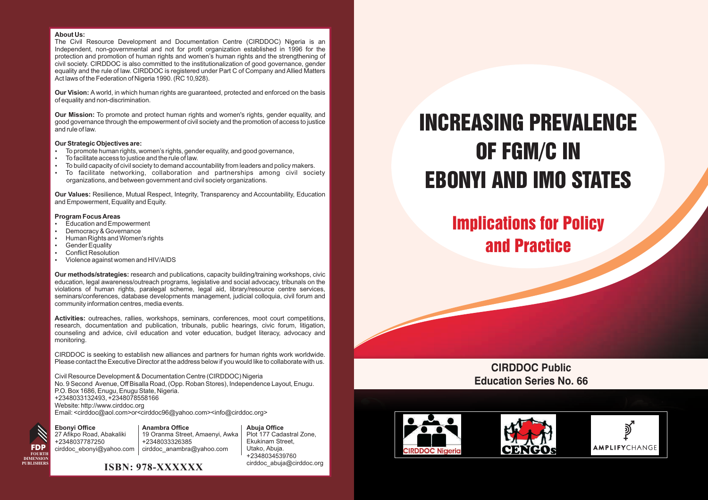#### **About Us:**

The Civil Resource Development and Documentation Centre (CIRDDOC) Nigeria is an Independent, non-governmental and not for profit organization established in 1996 for the protection and promotion of human rights and women's human rights and the strengthening of civil society. CIRDDOC is also committed to the institutionalization of good governance, gender equality and the rule of law. CIRDDOC is registered under Part C of Company and Allied Matters Act laws of the Federation of Nigeria 1990. (RC 10,928).

**Our Vision:** A world, in which human rights are guaranteed, protected and enforced on the basis of equality and non-discrimination.

**Our Mission:** To promote and protect human rights and women's rights, gender equality, and good governance through the empowerment of civil society and the promotion of access to justice and rule of law.

- ?**Our Strategic Objectives are:** • To promote human rights, women's rights, gender equality, and good governance,<br>• To facilitate access to justice and the rule of law.
- 
- To facilitate access to justice and the rule of law.<br>To build capacity of civil society to demand accountability from leaders and policy makers.
- ?To build capacity of civil society to demand accountability from leaders and policy makers. To facilitate networking, collaboration and partnerships among civil society organizations, and between government and civil society organizations.

**Our Values:** Resilience, Mutual Respect, Integrity, Transparency and Accountability, Education and Empowerment, Equality and Equity.

#### **Program Focus Areas**<br>• Education and Empowerment

- 
- Democracy & Governance • Democracy & Governance<br>• Human Rights and Women
- Human Rights and Women's rights<br>• Gender Equality
- Gender Equality<br>Conflict Resolution
- 
- Conflict Resolution<br>• Violence against women and HIV/AIDS

**Our methods/strategies:** research and publications, capacity building/training workshops, civic education, legal awareness/outreach programs, legislative and social advocacy, tribunals on the violations of human rights, paralegal scheme, legal aid, library/resource centre services, seminars/conferences, database developments management, judicial colloquia, civil forum and community information centres, media events.

**Activities:** outreaches, rallies, workshops, seminars, conferences, moot court competitions, research, documentation and publication, tribunals, public hearings, civic forum, litigation, counseling and advice, civil education and voter education, budget literacy, advocacy and monitoring.

CIRDDOC is seeking to establish new alliances and partners for human rights work worldwide. Please contact the Executive Director at the address below if you would like to collaborate with us.

Civil Resource Development & Documentation Centre (CIRDDOC) Nigeria No. 9 Second Avenue, Off Bisalla Road, (Opp. Roban Stores), Independence Layout, Enugu. P.O. Box 1686, Enugu, Enugu State, Nigeria. +2348033132493, +2348078558166 Website: http://www.cirddoc.org Email: <cirddoc@aol.com>or<cirddoc96@yahoo.com><info@cirddoc.org>

**Ebonyi Office FDP FOURTH DIMENSION PUBLISHERS**

27 Afikpo Road, Abakaliki +2348037787250 cirddoc\_ebonyi@yahoo.com **Anambra Office** 19 Oranma Street, Amaenyi, Awka +2348033326385 cirddoc\_anambra@yahoo.com

**Abuja Office** Plot 177 Cadastral Zone, Ekukinam Street, Utako, Abuja. +2348034539760 cirddoc\_abuja@cirddoc.org



# INCREASING PREVALENCE OF FGM/C IN EBONYI AND IMO STATES

Implications for Policy and Practice

#### **CIRDDOC Public Education Series No. 66**

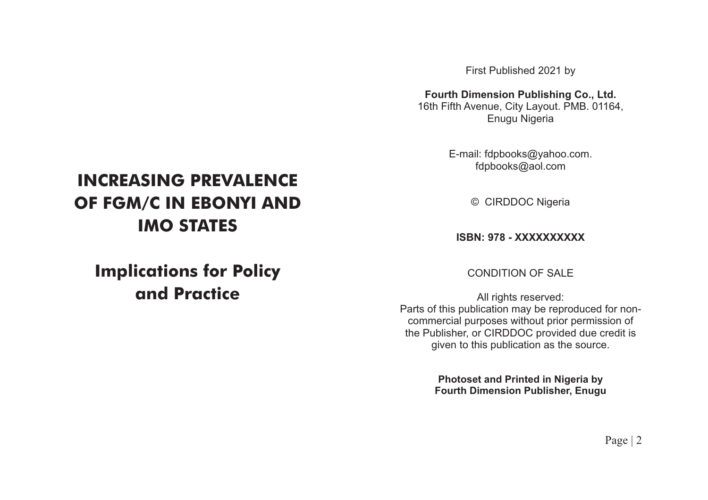First Published 2021 by

**Fourth Dimension Publishing Co., Ltd.**

16th Fifth Avenue, City Layout. PMB. 01164, Enugu Nigeria

> E-mail: fdpbooks@yahoo.com. fdpbooks@aol.com

> > © CIRDDOC Nigeria

**ISBN: 978 - XXXXXXXXXX**

CONDITION OF SALE

All rights reserved: Parts of this publication may be reproduced for noncommercial purposes without prior permission of the Publisher, or CIRDDOC provided due credit is given to this publication as the source.

> **Photoset and Printed in Nigeria by Fourth Dimension Publisher, Enugu**

### **INCREASING PREVALENCE OF FGM/C IN EBONYI AND IMO STATES**

### **Implications for Policy and Practice**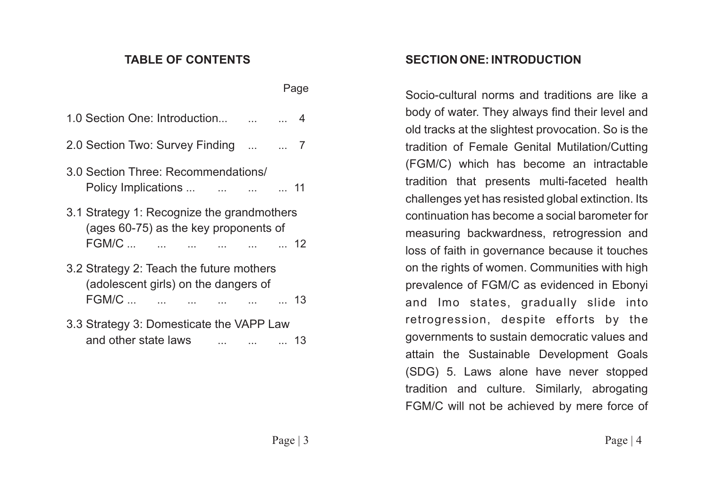#### **TABLE OF CONTENTS**

| 1.0 Section One: Introduction   4                                                                  |                   |    |
|----------------------------------------------------------------------------------------------------|-------------------|----|
| 2.0 Section Two: Survey Finding   7                                                                |                   |    |
| 3.0 Section Three: Recommendations/<br>Policy Implications                     11                  |                   |    |
| 3.1 Strategy 1: Recognize the grandmothers<br>(ages 60-75) as the key proponents of<br>FGM/C       | 12                |    |
| 3.2 Strategy 2: Teach the future mothers<br>(adolescent girls) on the dangers of<br>FGM/C       13 |                   |    |
| 3.3 Strategy 3: Domesticate the VAPP Law<br>and other state laws                                   | <b>Contractor</b> | 13 |

#### **SECTION ONE: INTRODUCTION**

Socio-cultural norms and traditions are like a body of water. They always find their level and old tracks at the slightest provocation. So is the tradition of Female Genital Mutilation/Cutting (FGM/C) which has become an intractable tradition that presents multi-faceted health challenges yet has resisted global extinction. Its continuation has become a social barometer for measuring backwardness, retrogression and loss of faith in governance because it touches on the rights of women. Communities with high prevalence of FGM/C as evidenced in Ebonyi and Imo states, gradually slide into retrogression, despite efforts by the governments to sustain democratic values and attain the Sustainable Development Goals (SDG) 5. Laws alone have never stopped tradition and culture. Similarly, abrogating FGM/C will not be achieved by mere force of

Page | 3 Page | 4

Page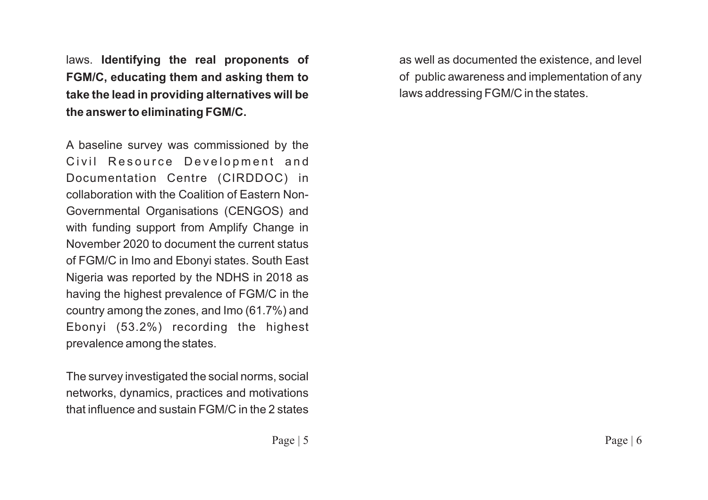laws. **Identifying the real proponents of FGM/C, educating them and asking them to take the lead in providing alternatives will be the answer to eliminating FGM/C.** 

A baseline survey was commissioned by the Civil Resource Development and Documentation Centre (CIRDDOC) in collaboration with the Coalition of Eastern Non-Governmental Organisations (CENGOS) and with funding support from Amplify Change in November 2020 to document the current status of FGM/C in Imo and Ebonyi states. South East Nigeria was reported by the NDHS in 2018 as having the highest prevalence of FGM/C in the country among the zones, and Imo (61.7%) and Ebonyi (53.2%) recording the highest prevalence among the states.

The survey investigated the social norms, social networks, dynamics, practices and motivations that influence and sustain FGM/C in the 2 states

as well as documented the existence, and level of public awareness and implementation of any laws addressing FGM/C in the states.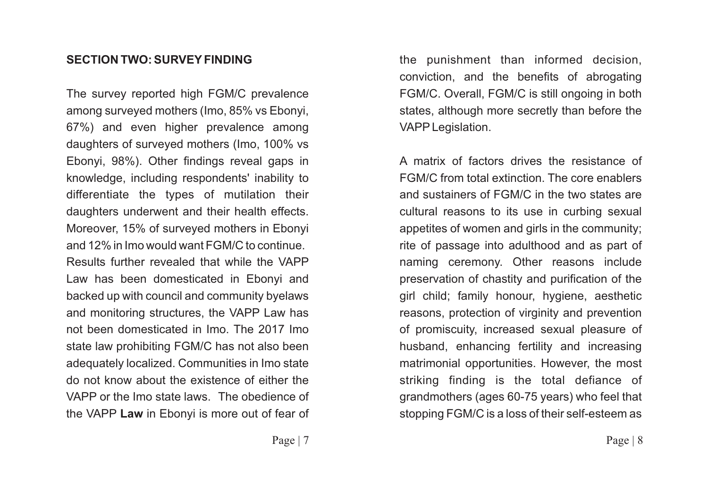#### **SECTION TWO: SURVEYFINDING**

The survey reported high FGM/C prevalence among surveyed mothers (Imo, 85% vs Ebonyi, 67%) and even higher prevalence among daughters of surveyed mothers (Imo, 100% vs Ebonyi, 98%). Other findings reveal gaps in knowledge, including respondents' inability to differentiate the types of mutilation their daughters underwent and their health effects. Moreover, 15% of surveyed mothers in Ebonyi and 12% in Imo would want FGM/C to continue. Results further revealed that while the VAPP Law has been domesticated in Ebonyi and backed up with council and community byelaws and monitoring structures, the VAPP Law has not been domesticated in Imo. The 2017 Imo state law prohibiting FGM/C has not also been adequately localized. Communities in Imo state do not know about the existence of either the VAPP or the Imo state laws. The obedience of the VAPP **Law** in Ebonyi is more out of fear of the punishment than informed decision, conviction, and the benefits of abrogating FGM/C. Overall, FGM/C is still ongoing in both states, although more secretly than before the VAPPLegislation.

A matrix of factors drives the resistance of FGM/C from total extinction. The core enablers and sustainers of FGM/C in the two states are cultural reasons to its use in curbing sexual appetites of women and girls in the community; rite of passage into adulthood and as part of naming ceremony. Other reasons include preservation of chastity and purification of the girl child; family honour, hygiene, aesthetic reasons, protection of virginity and prevention of promiscuity, increased sexual pleasure of husband, enhancing fertility and increasing matrimonial opportunities. However, the most striking finding is the total defiance of grandmothers (ages 60-75 years) who feel that stopping FGM/C is a loss of their self-esteem as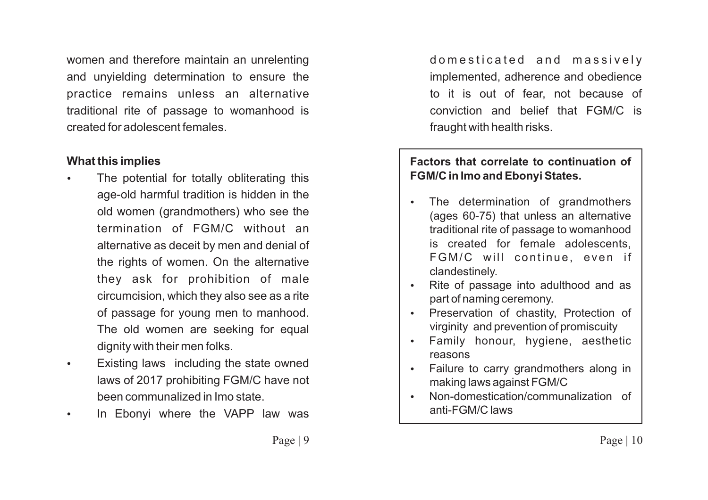women and therefore maintain an unrelenting and unyielding determination to ensure the practice remains unless an alternative traditional rite of passage to womanhood is created for adolescent females.

#### ?**What this implies**

- The potential for totally obliterating this age-old harmful tradition is hidden in the old women (grandmothers) who see the termination of FGM/C without an alternative as deceit by men and denial of the rights of women. On the alternative they ask for prohibition of male circumcision, which they also see as a rite of passage for young men to manhood. The old women are seeking for equal
- dignity with their men folks.<br>• Existing laws including the state owned laws of 2017 prohibiting FGM/C have not
- ?been communalized in Imo state. In Ebonyi where the VAPP law was

domesticated and massively implemented, adherence and obedience to it is out of fear, not because of conviction and belief that FGM/C is fraught with health risks.

## **Factors that correlate to continuation of FGM/C in Imo and Ebonyi States.**<br>• The determination of gran

- The determination of grandmothers (ages 60-75) that unless an alternative traditional rite of passage to womanhood is created for female adolescents, FGM/C will continue, even if
- ?clandestinely. Rite of passage into adulthood and as
- ?part of naming ceremony. Preservation of chastity, Protection of
- ?virginity and prevention of promiscuity Family honour, hygiene, aesthetic
- ?reasons Failure to carry grandmothers along in
- ?making laws against FGM/C Non-domestication/communalization of anti-FGM/C laws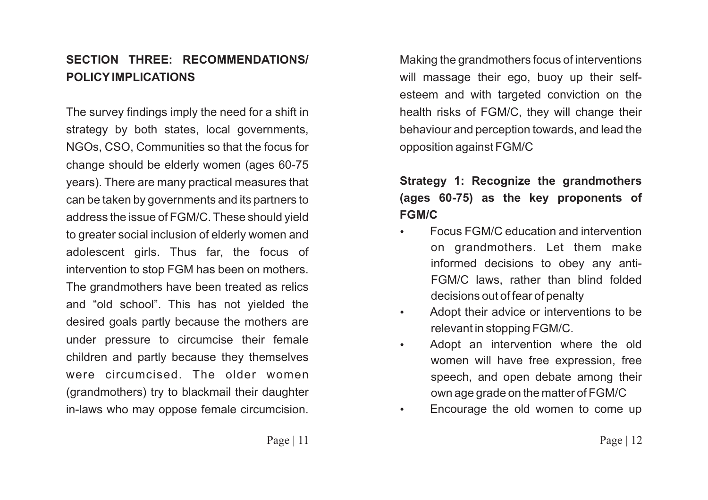#### **SECTION THREE: RECOMMENDATIONS/ POLICYIMPLICATIONS**

The survey findings imply the need for a shift in strategy by both states, local governments, NGOs, CSO, Communities so that the focus for change should be elderly women (ages 60-75 years). There are many practical measures that can be taken by governments and its partners to address the issue of FGM/C. These should yield to greater social inclusion of elderly women and adolescent girls. Thus far, the focus of intervention to stop FGM has been on mothers. The grandmothers have been treated as relics and "old school". This has not yielded the desired goals partly because the mothers are under pressure to circumcise their female children and partly because they themselves were circumcised. The older women (grandmothers) try to blackmail their daughter in-laws who may oppose female circumcision.

Making the grandmothers focus of interventions will massage their ego, buoy up their selfesteem and with targeted conviction on the health risks of FGM/C, they will change their behaviour and perception towards, and lead the opposition against FGM/C

### **Strategy 1: Recognize the grandmothers (ages 60-75) as the key proponents of FGM/C**

- ?Focus FGM/C education and intervention on grandmothers. Let them make informed decisions to obey any anti-FGM/C laws, rather than blind folded
- decisions out of fear of penalty<br>
 Adopt their advice or interventions to be
- ?relevant in stopping FGM/C. Adopt an intervention where the old women will have free expression, free speech, and open debate among their
- own age grade on the matter of FGM/C<br>
Encourage the old women to come up